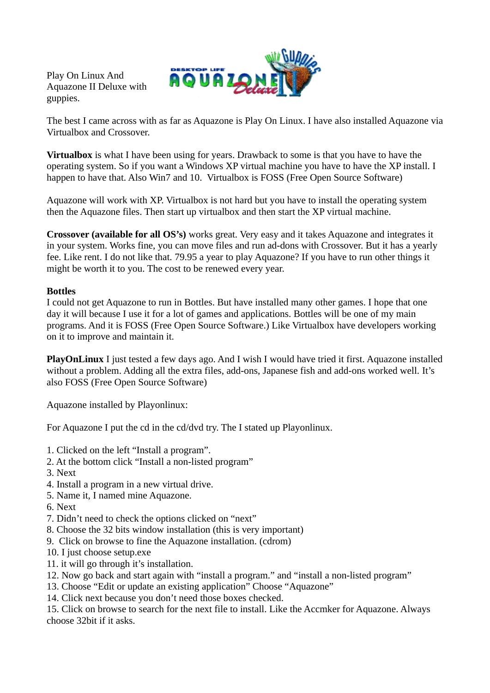Play On Linux And Aquazone II Deluxe with guppies.



The best I came across with as far as Aquazone is Play On Linux. I have also installed Aquazone via Virtualbox and Crossover.

**Virtualbox** is what I have been using for years. Drawback to some is that you have to have the operating system. So if you want a Windows XP virtual machine you have to have the XP install. I happen to have that. Also Win7 and 10. Virtualbox is FOSS (Free Open Source Software)

Aquazone will work with XP. Virtualbox is not hard but you have to install the operating system then the Aquazone files. Then start up virtualbox and then start the XP virtual machine.

**Crossover (available for all OS's)** works great. Very easy and it takes Aquazone and integrates it in your system. Works fine, you can move files and run ad-dons with Crossover. But it has a yearly fee. Like rent. I do not like that. 79.95 a year to play Aquazone? If you have to run other things it might be worth it to you. The cost to be renewed every year.

## **Bottles**

I could not get Aquazone to run in Bottles. But have installed many other games. I hope that one day it will because I use it for a lot of games and applications. Bottles will be one of my main programs. And it is FOSS (Free Open Source Software.) Like Virtualbox have developers working on it to improve and maintain it.

**PlayOnLinux** I just tested a few days ago. And I wish I would have tried it first. Aquazone installed without a problem. Adding all the extra files, add-ons, Japanese fish and add-ons worked well. It's also FOSS (Free Open Source Software)

Aquazone installed by Playonlinux:

For Aquazone I put the cd in the cd/dvd try. The I stated up Playonlinux.

- 1. Clicked on the left "Install a program".
- 2. At the bottom click "Install a non-listed program"
- 3. Next
- 4. Install a program in a new virtual drive.
- 5. Name it, I named mine Aquazone.
- 6. Next
- 7. Didn't need to check the options clicked on "next"
- 8. Choose the 32 bits window installation (this is very important)
- 9. Click on browse to fine the Aquazone installation. (cdrom)
- 10. I just choose setup.exe
- 11. it will go through it's installation.
- 12. Now go back and start again with "install a program." and "install a non-listed program"
- 13. Choose "Edit or update an existing application" Choose "Aquazone"
- 14. Click next because you don't need those boxes checked.

15. Click on browse to search for the next file to install. Like the Accmker for Aquazone. Always choose 32bit if it asks.